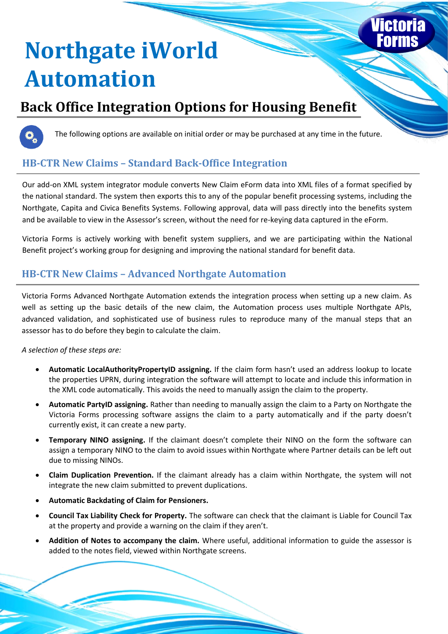# **Northgate iWorld Automation**

## **Back Office Integration Options for Housing Benefit**



The following options are available on initial order or may be purchased at any time in the future.

### **HB-CTR New Claims – Standard Back-Office Integration**

Our add-on XML system integrator module converts New Claim eForm data into XML files of a format specified by the national standard. The system then exports this to any of the popular benefit processing systems, including the Northgate, Capita and Civica Benefits Systems. Following approval, data will pass directly into the benefits system and be available to view in the Assessor's screen, without the need for re-keying data captured in the eForm.

Victoria Forms is actively working with benefit system suppliers, and we are participating within the National Benefit project's working group for designing and improving the national standard for benefit data.

#### **HB-CTR New Claims – Advanced Northgate Automation**

Victoria Forms Advanced Northgate Automation extends the integration process when setting up a new claim. As well as setting up the basic details of the new claim, the Automation process uses multiple Northgate APIs, advanced validation, and sophisticated use of business rules to reproduce many of the manual steps that an assessor has to do before they begin to calculate the claim.

*A selection of these steps are:*

- **Automatic LocalAuthorityPropertyID assigning.** If the claim form hasn't used an address lookup to locate the properties UPRN, during integration the software will attempt to locate and include this information in the XML code automatically. This avoids the need to manually assign the claim to the property.
- **Automatic PartyID assigning.** Rather than needing to manually assign the claim to a Party on Northgate the Victoria Forms processing software assigns the claim to a party automatically and if the party doesn't currently exist, it can create a new party.
- **Temporary NINO assigning.** If the claimant doesn't complete their NINO on the form the software can assign a temporary NINO to the claim to avoid issues within Northgate where Partner details can be left out due to missing NINOs.
- **Claim Duplication Prevention.** If the claimant already has a claim within Northgate, the system will not integrate the new claim submitted to prevent duplications.
- **Automatic Backdating of Claim for Pensioners.**
- **Council Tax Liability Check for Property.** The software can check that the claimant is Liable for Council Tax at the property and provide a warning on the claim if they aren't.
- **Addition of Notes to accompany the claim.** Where useful, additional information to guide the assessor is added to the notes field, viewed within Northgate screens.